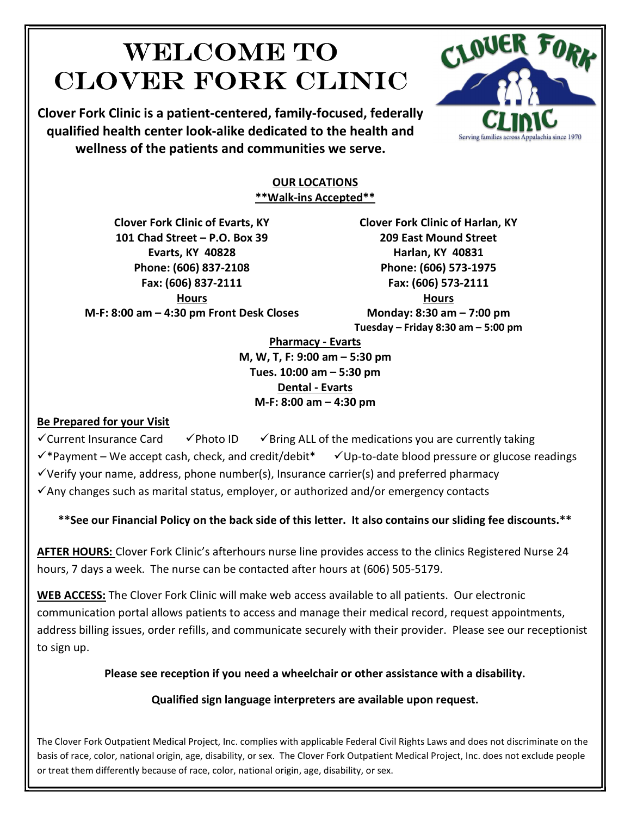# Welcome to Clover Fork Clinic

Clover Fork Clinic is a patient-centered, family-focused, federally qualified health center look-alike dedicated to the health and wellness of the patients and communities we serve.



#### OUR LOCATIONS \*\*Walk-ins Accepted\*\*

Clover Fork Clinic of Evarts, KY 101 Chad Street – P.O. Box 39 Evarts, KY 40828 Phone: (606) 837-2108 Fax: (606) 837-2111 Hours M-F: 8:00 am – 4:30 pm Front Desk Closes Clover Fork Clinic of Harlan, KY 209 East Mound Street Harlan, KY 40831 Phone: (606) 573-1975 Fax: (606) 573-2111

Hours Monday: 8:30 am – 7:00 pm Tuesday – Friday 8:30 am – 5:00 pm

Pharmacy - Evarts M, W, T, F: 9:00 am – 5:30 pm Tues. 10:00 am – 5:30 pm Dental - Evarts M-F: 8:00 am – 4:30 pm

### Be Prepared for your Visit

 $\checkmark$  Current Insurance Card  $\checkmark$  Photo ID  $\checkmark$  Bring ALL of the medications you are currently taking

 $\checkmark$ \*Payment – We accept cash, check, and credit/debit\*  $\checkmark$ Up-to-date blood pressure or glucose readings

 $\checkmark$  Verify your name, address, phone number(s), Insurance carrier(s) and preferred pharmacy

 $\checkmark$  Any changes such as marital status, employer, or authorized and/or emergency contacts

\*\*See our Financial Policy on the back side of this letter. It also contains our sliding fee discounts.\*\*

AFTER HOURS: Clover Fork Clinic's afterhours nurse line provides access to the clinics Registered Nurse 24 hours, 7 days a week. The nurse can be contacted after hours at (606) 505-5179.

WEB ACCESS: The Clover Fork Clinic will make web access available to all patients. Our electronic communication portal allows patients to access and manage their medical record, request appointments, address billing issues, order refills, and communicate securely with their provider. Please see our receptionist to sign up.

Please see reception if you need a wheelchair or other assistance with a disability.

### Qualified sign language interpreters are available upon request.

The Clover Fork Outpatient Medical Project, Inc. complies with applicable Federal Civil Rights Laws and does not discriminate on the basis of race, color, national origin, age, disability, or sex. The Clover Fork Outpatient Medical Project, Inc. does not exclude people or treat them differently because of race, color, national origin, age, disability, or sex.